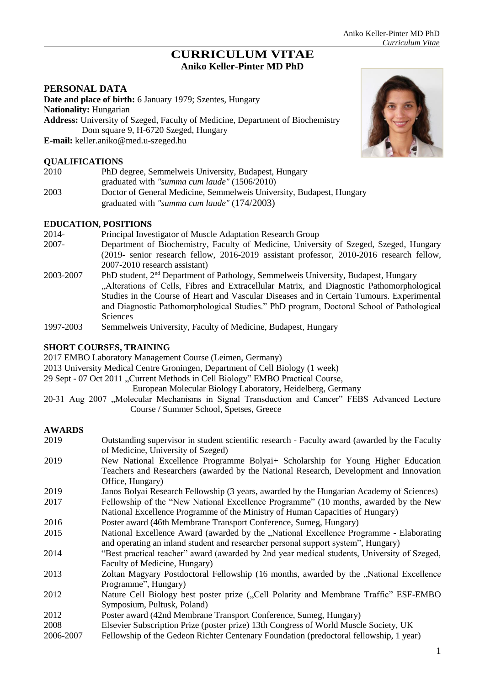# **CURRICULUM VITAE Aniko Keller-Pinter MD PhD**

# **PERSONAL DATA**

**Date and place of birth:** 6 January 1979; Szentes, Hungary **Nationality:** Hungarian **Address:** University of Szeged, Faculty of Medicine, Department of Biochemistry Dom square 9, H-6720 Szeged, Hungary **E-mail:** [keller.aniko@med.u-szeged.hu](mailto:keller.aniko@med.u-szeged.hu)

### **QUALIFICATIONS**

| 2010 | PhD degree, Semmelweis University, Budapest, Hungary                 |  |
|------|----------------------------------------------------------------------|--|
|      | graduated with "summa cum laude" (1506/2010)                         |  |
| 2003 | Doctor of General Medicine, Semmelweis University, Budapest, Hungary |  |
|      | graduated with "summa cum laude" $(174/2003)$                        |  |

#### **EDUCATION, POSITIONS**

2014- Principal Investigator of Muscle Adaptation Research Group 2007- Department of Biochemistry, Faculty of Medicine, University of Szeged, Szeged, Hungary (2019- senior research fellow, 2016-2019 assistant professor, 2010-2016 research fellow, 2007-2010 research assistant) 2003-2007 PhD student, 2nd Department of Pathology, Semmelweis University, Budapest, Hungary "Alterations of Cells, Fibres and Extracellular Matrix, and Diagnostic Pathomorphological Studies in the Course of Heart and Vascular Diseases and in Certain Tumours. Experimental and Diagnostic Pathomorphological Studies." PhD program, Doctoral School of Pathological Sciences 1997-2003 Semmelweis University, Faculty of Medicine, Budapest, Hungary

# **SHORT COURSES, TRAINING**

- 2017 EMBO Laboratory Management Course (Leimen, Germany)
- 2013 University Medical Centre Groningen, Department of Cell Biology (1 week)
- 29 Sept 07 Oct 2011 "Current Methods in Cell Biology" EMBO Practical Course,

European Molecular Biology Laboratory, Heidelberg, Germany

20-31 Aug 2007 "Molecular Mechanisms in Signal Transduction and Cancer" FEBS Advanced Lecture Course / Summer School, Spetses, Greece

#### **AWARDS**

- 2019 Outstanding supervisor in student scientific research Faculty award (awarded by the Faculty of Medicine, University of Szeged) 2019 New National Excellence Programme Bolyai+ Scholarship for Young Higher Education Teachers and Researchers (awarded by the National Research, Development and Innovation Office, Hungary) 2019 Janos Bolyai Research Fellowship (3 years, awarded by the Hungarian Academy of Sciences) 2017 Fellowship of the "New National Excellence Programme" (10 months, awarded by the New National Excellence Programme of the Ministry of Human Capacities of Hungary) 2016 Poster award (46th Membrane Transport Conference, Sumeg, Hungary) 2015 National Excellence Award (awarded by the "National Excellence Programme - Elaborating and operating an inland student and researcher personal support system", Hungary) 2014 "Best practical teacher" award (awarded by 2nd year medical students, University of Szeged, Faculty of Medicine, Hungary) 2013 Zoltan Magyary Postdoctoral Fellowship (16 months, awarded by the "National Excellence Programme", Hungary) 2012 Nature Cell Biology best poster prize ("Cell Polarity and Membrane Traffic" ESF-EMBO Symposium, Pultusk, Poland)
- 2012 Poster award (42nd Membrane Transport Conference, Sumeg, Hungary)
- 2008 Elsevier Subscription Prize (poster prize) 13th Congress of World Muscle Society, UK
- 2006-2007 Fellowship of the Gedeon Richter Centenary Foundation (predoctoral fellowship, 1 year)